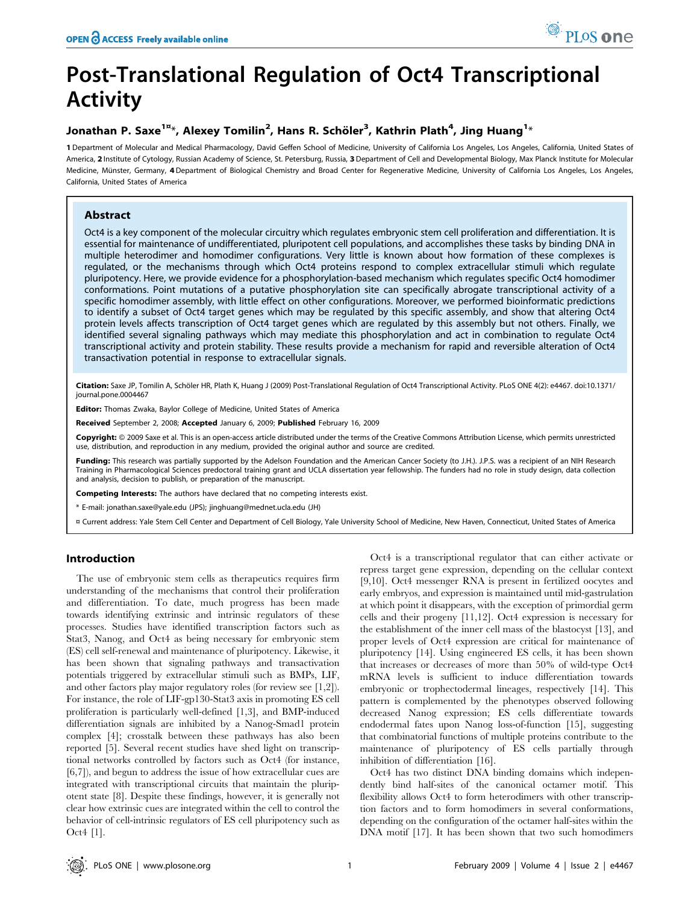# Post-Translational Regulation of Oct4 Transcriptional Activity

# Jonathan P. Saxe $^{1\mathrm{z}_*}$ , Alexey Tomilin $^2$ , Hans R. Schöler $^3$ , Kathrin Plath $^4$ , Jing Huang $^{1_*}$

1 Department of Molecular and Medical Pharmacology, David Geffen School of Medicine, University of California Los Angeles, Los Angeles, California, United States of America, 2 Institute of Cytology, Russian Academy of Science, St. Petersburg, Russia, 3 Department of Cell and Developmental Biology, Max Planck Institute for Molecular Medicine, Münster, Germany, 4Department of Biological Chemistry and Broad Center for Regenerative Medicine, University of California Los Angeles, Los Angeles, California, United States of America

# Abstract

Oct4 is a key component of the molecular circuitry which regulates embryonic stem cell proliferation and differentiation. It is essential for maintenance of undifferentiated, pluripotent cell populations, and accomplishes these tasks by binding DNA in multiple heterodimer and homodimer configurations. Very little is known about how formation of these complexes is regulated, or the mechanisms through which Oct4 proteins respond to complex extracellular stimuli which regulate pluripotency. Here, we provide evidence for a phosphorylation-based mechanism which regulates specific Oct4 homodimer conformations. Point mutations of a putative phosphorylation site can specifically abrogate transcriptional activity of a specific homodimer assembly, with little effect on other configurations. Moreover, we performed bioinformatic predictions to identify a subset of Oct4 target genes which may be regulated by this specific assembly, and show that altering Oct4 protein levels affects transcription of Oct4 target genes which are regulated by this assembly but not others. Finally, we identified several signaling pathways which may mediate this phosphorylation and act in combination to regulate Oct4 transcriptional activity and protein stability. These results provide a mechanism for rapid and reversible alteration of Oct4 transactivation potential in response to extracellular signals.

Citation: Saxe JP, Tomilin A, Schöler HR, Plath K, Huang J (2009) Post-Translational Regulation of Oct4 Transcriptional Activity. PLoS ONE 4(2): e4467. doi:10.1371/ journal.pone.0004467

Editor: Thomas Zwaka, Baylor College of Medicine, United States of America

Received September 2, 2008; Accepted January 6, 2009; Published February 16, 2009

Copyright: @ 2009 Saxe et al. This is an open-access article distributed under the terms of the Creative Commons Attribution License, which permits unrestricted use, distribution, and reproduction in any medium, provided the original author and source are credited.

Funding: This research was partially supported by the Adelson Foundation and the American Cancer Society (to J.H.). J.P.S. was a recipient of an NIH Research Training in Pharmacological Sciences predoctoral training grant and UCLA dissertation year fellowship. The funders had no role in study design, data collection and analysis, decision to publish, or preparation of the manuscript.

Competing Interests: The authors have declared that no competing interests exist.

\* E-mail: jonathan.saxe@yale.edu (JPS); jinghuang@mednet.ucla.edu (JH)

¤ Current address: Yale Stem Cell Center and Department of Cell Biology, Yale University School of Medicine, New Haven, Connecticut, United States of America

# Introduction

The use of embryonic stem cells as therapeutics requires firm understanding of the mechanisms that control their proliferation and differentiation. To date, much progress has been made towards identifying extrinsic and intrinsic regulators of these processes. Studies have identified transcription factors such as Stat3, Nanog, and Oct4 as being necessary for embryonic stem (ES) cell self-renewal and maintenance of pluripotency. Likewise, it has been shown that signaling pathways and transactivation potentials triggered by extracellular stimuli such as BMPs, LIF, and other factors play major regulatory roles (for review see [1,2]). For instance, the role of LIF-gp130-Stat3 axis in promoting ES cell proliferation is particularly well-defined [1,3], and BMP-induced differentiation signals are inhibited by a Nanog-Smad1 protein complex [4]; crosstalk between these pathways has also been reported [5]. Several recent studies have shed light on transcriptional networks controlled by factors such as Oct4 (for instance, [6,7]), and begun to address the issue of how extracellular cues are integrated with transcriptional circuits that maintain the pluripotent state [8]. Despite these findings, however, it is generally not clear how extrinsic cues are integrated within the cell to control the behavior of cell-intrinsic regulators of ES cell pluripotency such as Oct4 [1].

Oct4 is a transcriptional regulator that can either activate or repress target gene expression, depending on the cellular context [9,10]. Oct4 messenger RNA is present in fertilized oocytes and early embryos, and expression is maintained until mid-gastrulation at which point it disappears, with the exception of primordial germ cells and their progeny [11,12]. Oct4 expression is necessary for the establishment of the inner cell mass of the blastocyst [13], and proper levels of Oct4 expression are critical for maintenance of pluripotency [14]. Using engineered ES cells, it has been shown that increases or decreases of more than 50% of wild-type Oct4 mRNA levels is sufficient to induce differentiation towards embryonic or trophectodermal lineages, respectively [14]. This pattern is complemented by the phenotypes observed following decreased Nanog expression; ES cells differentiate towards endodermal fates upon Nanog loss-of-function [15], suggesting that combinatorial functions of multiple proteins contribute to the maintenance of pluripotency of ES cells partially through inhibition of differentiation [16].

Oct4 has two distinct DNA binding domains which independently bind half-sites of the canonical octamer motif. This flexibility allows Oct4 to form heterodimers with other transcription factors and to form homodimers in several conformations, depending on the configuration of the octamer half-sites within the DNA motif [17]. It has been shown that two such homodimers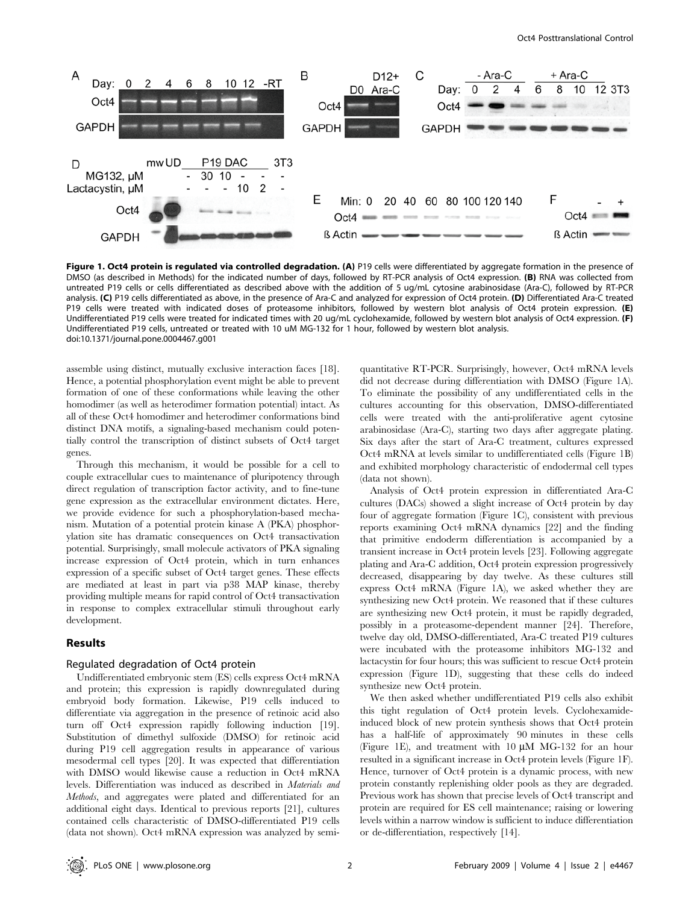

Figure 1. Oct4 protein is regulated via controlled degradation. (A) P19 cells were differentiated by aggregate formation in the presence of DMSO (as described in Methods) for the indicated number of days, followed by RT-PCR analysis of Oct4 expression. (B) RNA was collected from untreated P19 cells or cells differentiated as described above with the addition of 5 ug/mL cytosine arabinosidase (Ara-C), followed by RT-PCR analysis. (C) P19 cells differentiated as above, in the presence of Ara-C and analyzed for expression of Oct4 protein. (D) Differentiated Ara-C treated P19 cells were treated with indicated doses of proteasome inhibitors, followed by western blot analysis of Oct4 protein expression. (E) Undifferentiated P19 cells were treated for indicated times with 20 ug/mL cyclohexamide, followed by western blot analysis of Oct4 expression. (F) Undifferentiated P19 cells, untreated or treated with 10 uM MG-132 for 1 hour, followed by western blot analysis. doi:10.1371/journal.pone.0004467.g001

assemble using distinct, mutually exclusive interaction faces [18]. Hence, a potential phosphorylation event might be able to prevent formation of one of these conformations while leaving the other homodimer (as well as heterodimer formation potential) intact. As all of these Oct4 homodimer and heterodimer conformations bind distinct DNA motifs, a signaling-based mechanism could potentially control the transcription of distinct subsets of Oct4 target genes.

Through this mechanism, it would be possible for a cell to couple extracellular cues to maintenance of pluripotency through direct regulation of transcription factor activity, and to fine-tune gene expression as the extracellular environment dictates. Here, we provide evidence for such a phosphorylation-based mechanism. Mutation of a potential protein kinase A (PKA) phosphorylation site has dramatic consequences on Oct4 transactivation potential. Surprisingly, small molecule activators of PKA signaling increase expression of Oct4 protein, which in turn enhances expression of a specific subset of Oct4 target genes. These effects are mediated at least in part via p38 MAP kinase, thereby providing multiple means for rapid control of Oct4 transactivation in response to complex extracellular stimuli throughout early development.

## Results

## Regulated degradation of Oct4 protein

Undifferentiated embryonic stem (ES) cells express Oct4 mRNA and protein; this expression is rapidly downregulated during embryoid body formation. Likewise, P19 cells induced to differentiate via aggregation in the presence of retinoic acid also turn off Oct4 expression rapidly following induction [19]. Substitution of dimethyl sulfoxide (DMSO) for retinoic acid during P19 cell aggregation results in appearance of various mesodermal cell types [20]. It was expected that differentiation with DMSO would likewise cause a reduction in Oct4 mRNA levels. Differentiation was induced as described in Materials and Methods, and aggregates were plated and differentiated for an additional eight days. Identical to previous reports [21], cultures contained cells characteristic of DMSO-differentiated P19 cells (data not shown). Oct4 mRNA expression was analyzed by semiquantitative RT-PCR. Surprisingly, however, Oct4 mRNA levels did not decrease during differentiation with DMSO (Figure 1A). To eliminate the possibility of any undifferentiated cells in the cultures accounting for this observation, DMSO-differentiated cells were treated with the anti-proliferative agent cytosine arabinosidase (Ara-C), starting two days after aggregate plating. Six days after the start of Ara-C treatment, cultures expressed Oct4 mRNA at levels similar to undifferentiated cells (Figure 1B) and exhibited morphology characteristic of endodermal cell types (data not shown).

Analysis of Oct4 protein expression in differentiated Ara-C cultures (DACs) showed a slight increase of Oct4 protein by day four of aggregate formation (Figure 1C), consistent with previous reports examining Oct4 mRNA dynamics [22] and the finding that primitive endoderm differentiation is accompanied by a transient increase in Oct4 protein levels [23]. Following aggregate plating and Ara-C addition, Oct4 protein expression progressively decreased, disappearing by day twelve. As these cultures still express Oct4 mRNA (Figure 1A), we asked whether they are synthesizing new Oct4 protein. We reasoned that if these cultures are synthesizing new Oct4 protein, it must be rapidly degraded, possibly in a proteasome-dependent manner [24]. Therefore, twelve day old, DMSO-differentiated, Ara-C treated P19 cultures were incubated with the proteasome inhibitors MG-132 and lactacystin for four hours; this was sufficient to rescue Oct4 protein expression (Figure 1D), suggesting that these cells do indeed synthesize new Oct4 protein.

We then asked whether undifferentiated P19 cells also exhibit this tight regulation of Oct4 protein levels. Cyclohexamideinduced block of new protein synthesis shows that Oct4 protein has a half-life of approximately 90 minutes in these cells (Figure 1E), and treatment with  $10 \mu M$  MG-132 for an hour resulted in a significant increase in Oct4 protein levels (Figure 1F). Hence, turnover of Oct4 protein is a dynamic process, with new protein constantly replenishing older pools as they are degraded. Previous work has shown that precise levels of Oct4 transcript and protein are required for ES cell maintenance; raising or lowering levels within a narrow window is sufficient to induce differentiation or de-differentiation, respectively [14].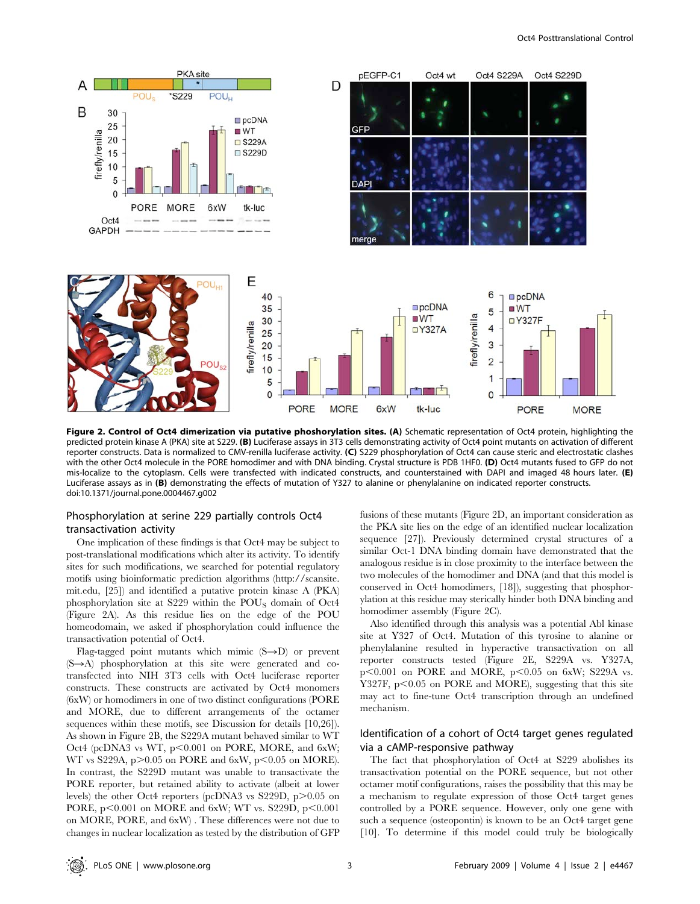

Figure 2. Control of Oct4 dimerization via putative phoshorylation sites. (A) Schematic representation of Oct4 protein, highlighting the predicted protein kinase A (PKA) site at S229. (B) Luciferase assays in 3T3 cells demonstrating activity of Oct4 point mutants on activation of different reporter constructs. Data is normalized to CMV-renilla luciferase activity. (C) S229 phosphorylation of Oct4 can cause steric and electrostatic clashes with the other Oct4 molecule in the PORE homodimer and with DNA binding. Crystal structure is PDB 1HF0. (D) Oct4 mutants fused to GFP do not mis-localize to the cytoplasm. Cells were transfected with indicated constructs, and counterstained with DAPI and imaged 48 hours later. (E) Luciferase assays as in (B) demonstrating the effects of mutation of Y327 to alanine or phenylalanine on indicated reporter constructs. doi:10.1371/journal.pone.0004467.g002

# Phosphorylation at serine 229 partially controls Oct4 transactivation activity

One implication of these findings is that Oct4 may be subject to post-translational modifications which alter its activity. To identify sites for such modifications, we searched for potential regulatory motifs using bioinformatic prediction algorithms (http://scansite. mit.edu, [25]) and identified a putative protein kinase A (PKA) phosphorylation site at S229 within the POUS domain of Oct4 (Figure 2A). As this residue lies on the edge of the POU homeodomain, we asked if phosphorylation could influence the transactivation potential of Oct4.

Flag-tagged point mutants which mimic  $(S\rightarrow D)$  or prevent  $(S \rightarrow A)$  phosphorylation at this site were generated and cotransfected into NIH 3T3 cells with Oct4 luciferase reporter constructs. These constructs are activated by Oct4 monomers (6xW) or homodimers in one of two distinct configurations (PORE and MORE, due to different arrangements of the octamer sequences within these motifs, see Discussion for details [10,26]). As shown in Figure 2B, the S229A mutant behaved similar to WT Oct4 (pcDNA3 vs WT, p<0.001 on PORE, MORE, and 6xW; WT vs S229A,  $p > 0.05$  on PORE and 6xW,  $p < 0.05$  on MORE). In contrast, the S229D mutant was unable to transactivate the PORE reporter, but retained ability to activate (albeit at lower levels) the other Oct4 reporters (pcDNA3 vs  $S229D$ , p $>0.05$  on PORE,  $p<0.001$  on MORE and 6xW; WT vs. S229D,  $p<0.001$ on MORE, PORE, and 6xW) . These differences were not due to changes in nuclear localization as tested by the distribution of GFP

fusions of these mutants (Figure 2D, an important consideration as the PKA site lies on the edge of an identified nuclear localization sequence [27]). Previously determined crystal structures of a similar Oct-1 DNA binding domain have demonstrated that the analogous residue is in close proximity to the interface between the two molecules of the homodimer and DNA (and that this model is conserved in Oct4 homodimers, [18]), suggesting that phosphorylation at this residue may sterically hinder both DNA binding and homodimer assembly (Figure 2C).

Also identified through this analysis was a potential Abl kinase site at Y327 of Oct4. Mutation of this tyrosine to alanine or phenylalanine resulted in hyperactive transactivation on all reporter constructs tested (Figure 2E, S229A vs. Y327A,  $p<0.001$  on PORE and MORE,  $p<0.05$  on 6xW; S229A vs. Y327F,  $p<0.05$  on PORE and MORE), suggesting that this site may act to fine-tune Oct4 transcription through an undefined mechanism.

# Identification of a cohort of Oct4 target genes regulated via a cAMP-responsive pathway

The fact that phosphorylation of Oct4 at S229 abolishes its transactivation potential on the PORE sequence, but not other octamer motif configurations, raises the possibility that this may be a mechanism to regulate expression of those Oct4 target genes controlled by a PORE sequence. However, only one gene with such a sequence (osteopontin) is known to be an Oct4 target gene [10]. To determine if this model could truly be biologically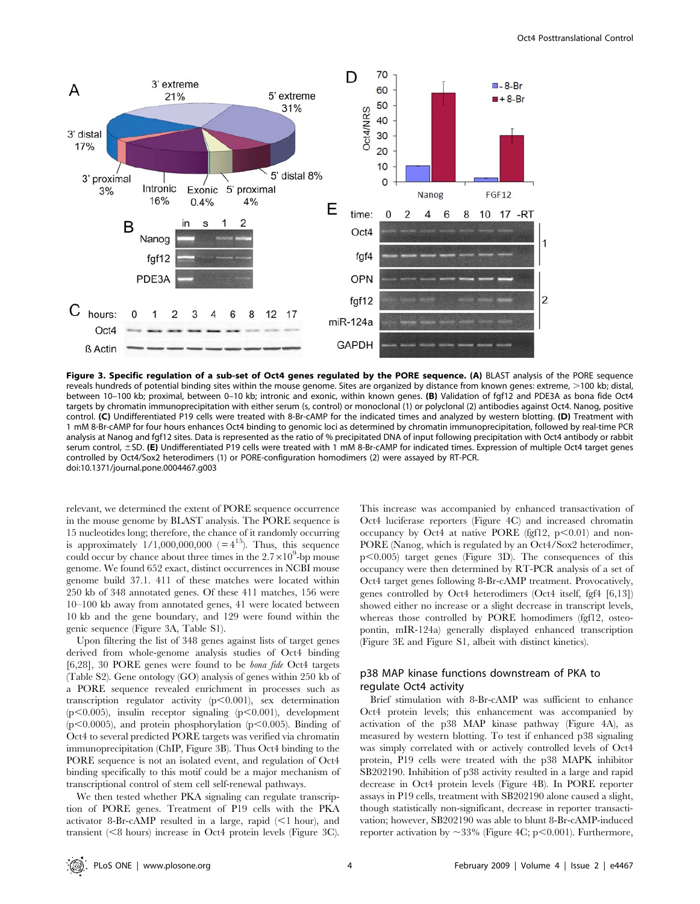

Figure 3. Specific regulation of a sub-set of Oct4 genes regulated by the PORE sequence. (A) BLAST analysis of the PORE sequence reveals hundreds of potential binding sites within the mouse genome. Sites are organized by distance from known genes: extreme, >100 kb; distal, between 10–100 kb; proximal, between 0–10 kb; intronic and exonic, within known genes. (B) Validation of fgf12 and PDE3A as bona fide Oct4 targets by chromatin immunoprecipitation with either serum (s, control) or monoclonal (1) or polyclonal (2) antibodies against Oct4. Nanog, positive control. (C) Undifferentiated P19 cells were treated with 8-Br-cAMP for the indicated times and analyzed by western blotting. (D) Treatment with 1 mM 8-Br-cAMP for four hours enhances Oct4 binding to genomic loci as determined by chromatin immunoprecipitation, followed by real-time PCR analysis at Nanog and fgf12 sites. Data is represented as the ratio of % precipitated DNA of input following precipitation with Oct4 antibody or rabbit serum control, ±SD. (E) Undifferentiated P19 cells were treated with 1 mM 8-Br-cAMP for indicated times. Expression of multiple Oct4 target genes controlled by Oct4/Sox2 heterodimers (1) or PORE-configuration homodimers (2) were assayed by RT-PCR. doi:10.1371/journal.pone.0004467.g003

relevant, we determined the extent of PORE sequence occurrence in the mouse genome by BLAST analysis. The PORE sequence is 15 nucleotides long; therefore, the chance of it randomly occurring is approximately  $1/1,000,000,000$  (= $4^{15}$ ). Thus, this sequence could occur by chance about three times in the  $2.7 \times 10^9$ -bp mouse genome. We found 652 exact, distinct occurrences in NCBI mouse genome build 37.1. 411 of these matches were located within 250 kb of 348 annotated genes. Of these 411 matches, 156 were 10–100 kb away from annotated genes, 41 were located between 10 kb and the gene boundary, and 129 were found within the genic sequence (Figure 3A, Table S1).

Upon filtering the list of 348 genes against lists of target genes derived from whole-genome analysis studies of Oct4 binding [6,28], 30 PORE genes were found to be bona fide Oct4 targets (Table S2). Gene ontology (GO) analysis of genes within 250 kb of a PORE sequence revealed enrichment in processes such as transcription regulator activity  $(p<0.001)$ , sex determination  $(p<0.005)$ , insulin receptor signaling  $(p<0.001)$ , development  $(p<0.0005)$ , and protein phosphorylation  $(p<0.005)$ . Binding of Oct4 to several predicted PORE targets was verified via chromatin immunoprecipitation (ChIP, Figure 3B). Thus Oct4 binding to the PORE sequence is not an isolated event, and regulation of Oct4 binding specifically to this motif could be a major mechanism of transcriptional control of stem cell self-renewal pathways.

We then tested whether PKA signaling can regulate transcription of PORE genes. Treatment of P19 cells with the PKA activator 8-Br-cAMP resulted in a large, rapid  $\leq 1$  hour), and transient  $(<8$  hours) increase in Oct4 protein levels (Figure 3C).

This increase was accompanied by enhanced transactivation of Oct4 luciferase reporters (Figure 4C) and increased chromatin occupancy by Oct4 at native PORE (fgf12,  $p<0.01$ ) and non-PORE (Nanog, which is regulated by an Oct4/Sox2 heterodimer,  $p<0.005$ ) target genes (Figure 3D). The consequences of this occupancy were then determined by RT-PCR analysis of a set of Oct4 target genes following 8-Br-cAMP treatment. Provocatively, genes controlled by Oct4 heterodimers (Oct4 itself, fgf4 [6,13]) showed either no increase or a slight decrease in transcript levels, whereas those controlled by PORE homodimers (fgf12, osteopontin, mIR-124a) generally displayed enhanced transcription (Figure 3E and Figure S1, albeit with distinct kinetics).

# p38 MAP kinase functions downstream of PKA to regulate Oct4 activity

Brief stimulation with 8-Br-cAMP was sufficient to enhance Oct4 protein levels; this enhancement was accompanied by activation of the p38 MAP kinase pathway (Figure 4A), as measured by western blotting. To test if enhanced p38 signaling was simply correlated with or actively controlled levels of Oct4 protein, P19 cells were treated with the p38 MAPK inhibitor SB202190. Inhibition of p38 activity resulted in a large and rapid decrease in Oct4 protein levels (Figure 4B). In PORE reporter assays in P19 cells, treatment with SB202190 alone caused a slight, though statistically non-significant, decrease in reporter transactivation; however, SB202190 was able to blunt 8-Br-cAMP-induced reporter activation by  $\sim$ 33% (Figure 4C; p $\leq$ 0.001). Furthermore,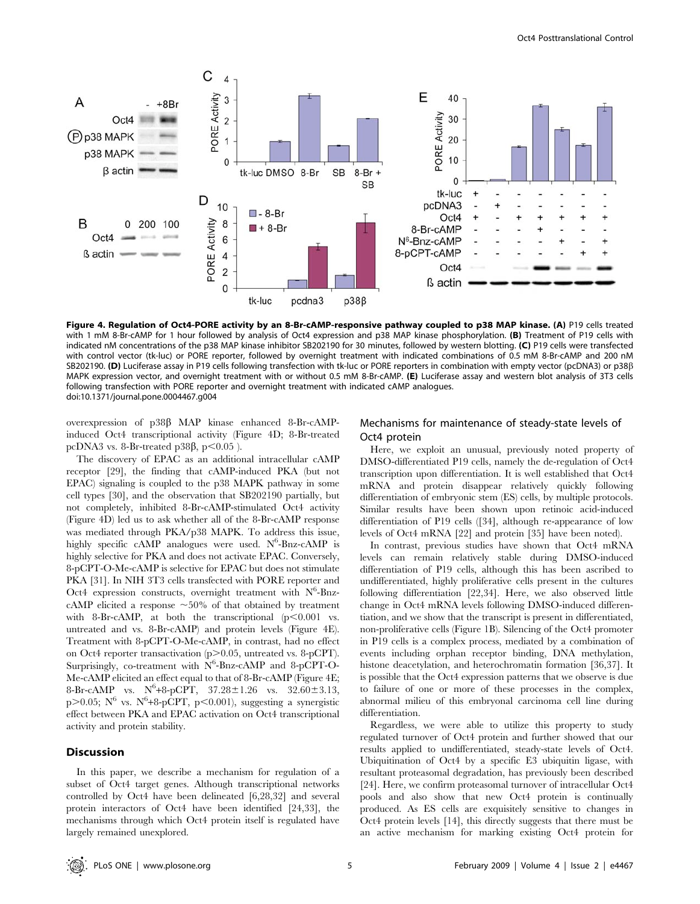

Figure 4. Regulation of Oct4-PORE activity by an 8-Br-cAMP-responsive pathway coupled to p38 MAP kinase. (A) P19 cells treated with 1 mM 8-Br-cAMP for 1 hour followed by analysis of Oct4 expression and p38 MAP kinase phosphorylation. (B) Treatment of P19 cells with indicated nM concentrations of the p38 MAP kinase inhibitor SB202190 for 30 minutes, followed by western blotting. (C) P19 cells were transfected with control vector (tk-luc) or PORE reporter, followed by overnight treatment with indicated combinations of 0.5 mM 8-Br-cAMP and 200 nM SB202190. (D) Luciferase assay in P19 cells following transfection with tk-luc or PORE reporters in combination with empty vector (pcDNA3) or p38 $\beta$ MAPK expression vector, and overnight treatment with or without 0.5 mM 8-Br-cAMP. (E) Luciferase assay and western blot analysis of 3T3 cells following transfection with PORE reporter and overnight treatment with indicated cAMP analogues. doi:10.1371/journal.pone.0004467.g004

overexpression of p38b MAP kinase enhanced 8-Br-cAMPinduced Oct4 transcriptional activity (Figure 4D; 8-Br-treated pcDNA3 vs. 8-Br-treated p38 $\beta$ , p $\leq$ 0.05 ).

The discovery of EPAC as an additional intracellular cAMP receptor [29], the finding that cAMP-induced PKA (but not EPAC) signaling is coupled to the p38 MAPK pathway in some cell types [30], and the observation that SB202190 partially, but not completely, inhibited 8-Br-cAMP-stimulated Oct4 activity (Figure 4D) led us to ask whether all of the 8-Br-cAMP response was mediated through PKA/p38 MAPK. To address this issue, highly specific cAMP analogues were used.  $N^6$ -Bnz-cAMP is highly selective for PKA and does not activate EPAC. Conversely, 8-pCPT-O-Me-cAMP is selective for EPAC but does not stimulate PKA [31]. In NIH 3T3 cells transfected with PORE reporter and Oct4 expression constructs, overnight treatment with  $N^6$ -BnzcAMP elicited a response  $\sim 50\%$  of that obtained by treatment with 8-Br-cAMP, at both the transcriptional  $(p<0.001$  vs. untreated and vs. 8-Br-cAMP) and protein levels (Figure 4E). Treatment with 8-pCPT-O-Me-cAMP, in contrast, had no effect on Oct4 reporter transactivation  $(p>0.05$ , untreated vs. 8-pCPT). Surprisingly, co-treatment with  $N^6$ -Bnz-cAMP and 8-pCPT-O-Me-cAMP elicited an effect equal to that of 8-Br-cAMP (Figure 4E; 8-Br-cAMP vs.  $N^6 + 8 - pCPT$ ,  $37.28 \pm 1.26$  vs.  $32.60 \pm 3.13$ , p $>0.05$ ; N<sup>6</sup> vs. N<sup>6</sup>+8-pCPT, p<0.001), suggesting a synergistic effect between PKA and EPAC activation on Oct4 transcriptional activity and protein stability.

## **Discussion**

In this paper, we describe a mechanism for regulation of a subset of Oct4 target genes. Although transcriptional networks controlled by Oct4 have been delineated [6,28,32] and several protein interactors of Oct4 have been identified [24,33], the mechanisms through which Oct4 protein itself is regulated have largely remained unexplored.

# Mechanisms for maintenance of steady-state levels of Oct4 protein

Here, we exploit an unusual, previously noted property of DMSO-differentiated P19 cells, namely the de-regulation of Oct4 transcription upon differentiation. It is well established that Oct4 mRNA and protein disappear relatively quickly following differentiation of embryonic stem (ES) cells, by multiple protocols. Similar results have been shown upon retinoic acid-induced differentiation of P19 cells ([34], although re-appearance of low levels of Oct4 mRNA [22] and protein [35] have been noted).

In contrast, previous studies have shown that Oct4 mRNA levels can remain relatively stable during DMSO-induced differentiation of P19 cells, although this has been ascribed to undifferentiated, highly proliferative cells present in the cultures following differentiation [22,34]. Here, we also observed little change in Oct4 mRNA levels following DMSO-induced differentiation, and we show that the transcript is present in differentiated, non-proliferative cells (Figure 1B). Silencing of the Oct4 promoter in P19 cells is a complex process, mediated by a combination of events including orphan receptor binding, DNA methylation, histone deacetylation, and heterochromatin formation [36,37]. It is possible that the Oct4 expression patterns that we observe is due to failure of one or more of these processes in the complex, abnormal milieu of this embryonal carcinoma cell line during differentiation.

Regardless, we were able to utilize this property to study regulated turnover of Oct4 protein and further showed that our results applied to undifferentiated, steady-state levels of Oct4. Ubiquitination of Oct4 by a specific E3 ubiquitin ligase, with resultant proteasomal degradation, has previously been described [24]. Here, we confirm proteasomal turnover of intracellular Oct4 pools and also show that new Oct4 protein is continually produced. As ES cells are exquisitely sensitive to changes in Oct4 protein levels [14], this directly suggests that there must be an active mechanism for marking existing Oct4 protein for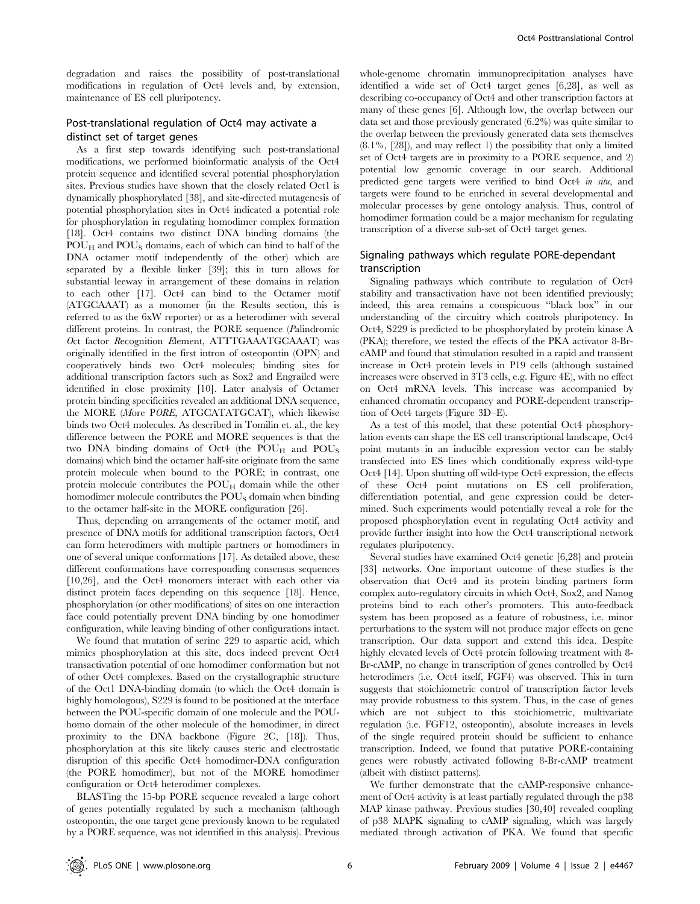degradation and raises the possibility of post-translational modifications in regulation of Oct4 levels and, by extension, maintenance of ES cell pluripotency.

# Post-translational regulation of Oct4 may activate a distinct set of target genes

As a first step towards identifying such post-translational modifications, we performed bioinformatic analysis of the Oct4 protein sequence and identified several potential phosphorylation sites. Previous studies have shown that the closely related Oct1 is dynamically phosphorylated [38], and site-directed mutagenesis of potential phosphorylation sites in Oct4 indicated a potential role for phosphorylation in regulating homodimer complex formation [18]. Oct4 contains two distinct DNA binding domains (the  $POU_H$  and  $POU_S$  domains, each of which can bind to half of the DNA octamer motif independently of the other) which are separated by a flexible linker [39]; this in turn allows for substantial leeway in arrangement of these domains in relation to each other [17]. Oct4 can bind to the Octamer motif (ATGCAAAT) as a monomer (in the Results section, this is referred to as the 6xW reporter) or as a heterodimer with several different proteins. In contrast, the PORE sequence (Palindromic Oct factor Recognition Element, ATTTGAAATGCAAAT) was originally identified in the first intron of osteopontin (OPN) and cooperatively binds two Oct4 molecules; binding sites for additional transcription factors such as Sox2 and Engrailed were identified in close proximity [10]. Later analysis of Octamer protein binding specificities revealed an additional DNA sequence, the MORE (More PORE, ATGCATATGCAT), which likewise binds two Oct4 molecules. As described in Tomilin et. al., the key difference between the PORE and MORE sequences is that the two DNA binding domains of Oct4 (the  $POU_H$  and  $POU_S$ domains) which bind the octamer half-site originate from the same protein molecule when bound to the PORE; in contrast, one protein molecule contributes the  $P_{\text{OU}_{\text{H}}}$  domain while the other homodimer molecule contributes the POU<sub>S</sub> domain when binding to the octamer half-site in the MORE configuration [26].

Thus, depending on arrangements of the octamer motif, and presence of DNA motifs for additional transcription factors, Oct4 can form heterodimers with multiple partners or homodimers in one of several unique conformations [17]. As detailed above, these different conformations have corresponding consensus sequences [10,26], and the Oct4 monomers interact with each other via distinct protein faces depending on this sequence [18]. Hence, phosphorylation (or other modifications) of sites on one interaction face could potentially prevent DNA binding by one homodimer configuration, while leaving binding of other configurations intact.

We found that mutation of serine 229 to aspartic acid, which mimics phosphorylation at this site, does indeed prevent Oct4 transactivation potential of one homodimer conformation but not of other Oct4 complexes. Based on the crystallographic structure of the Oct1 DNA-binding domain (to which the Oct4 domain is highly homologous), S229 is found to be positioned at the interface between the POU-specific domain of one molecule and the POUhomo domain of the other molecule of the homodimer, in direct proximity to the DNA backbone (Figure 2C, [18]). Thus, phosphorylation at this site likely causes steric and electrostatic disruption of this specific Oct4 homodimer-DNA configuration (the PORE homodimer), but not of the MORE homodimer configuration or Oct4 heterodimer complexes.

BLASTing the 15-bp PORE sequence revealed a large cohort of genes potentially regulated by such a mechanism (although osteopontin, the one target gene previously known to be regulated by a PORE sequence, was not identified in this analysis). Previous whole-genome chromatin immunoprecipitation analyses have identified a wide set of Oct4 target genes [6,28], as well as describing co-occupancy of Oct4 and other transcription factors at many of these genes [6]. Although low, the overlap between our data set and those previously generated (6.2%) was quite similar to the overlap between the previously generated data sets themselves (8.1%, [28]), and may reflect 1) the possibility that only a limited set of Oct4 targets are in proximity to a PORE sequence, and 2) potential low genomic coverage in our search. Additional predicted gene targets were verified to bind Oct4 in situ, and targets were found to be enriched in several developmental and molecular processes by gene ontology analysis. Thus, control of homodimer formation could be a major mechanism for regulating transcription of a diverse sub-set of Oct4 target genes.

# Signaling pathways which regulate PORE-dependant transcription

Signaling pathways which contribute to regulation of Oct4 stability and transactivation have not been identified previously; indeed, this area remains a conspicuous ''black box'' in our understanding of the circuitry which controls pluripotency. In Oct4, S229 is predicted to be phosphorylated by protein kinase A (PKA); therefore, we tested the effects of the PKA activator 8-BrcAMP and found that stimulation resulted in a rapid and transient increase in Oct4 protein levels in P19 cells (although sustained increases were observed in 3T3 cells, e.g. Figure 4E), with no effect on Oct4 mRNA levels. This increase was accompanied by enhanced chromatin occupancy and PORE-dependent transcription of Oct4 targets (Figure 3D–E).

As a test of this model, that these potential Oct4 phosphorylation events can shape the ES cell transcriptional landscape, Oct4 point mutants in an inducible expression vector can be stably transfected into ES lines which conditionally express wild-type Oct4 [14]. Upon shutting off wild-type Oct4 expression, the effects of these Oct4 point mutations on ES cell proliferation, differentiation potential, and gene expression could be determined. Such experiments would potentially reveal a role for the proposed phosphorylation event in regulating Oct4 activity and provide further insight into how the Oct4 transcriptional network regulates pluripotency.

Several studies have examined Oct4 genetic [6,28] and protein [33] networks. One important outcome of these studies is the observation that Oct4 and its protein binding partners form complex auto-regulatory circuits in which Oct4, Sox2, and Nanog proteins bind to each other's promoters. This auto-feedback system has been proposed as a feature of robustness, i.e. minor perturbations to the system will not produce major effects on gene transcription. Our data support and extend this idea. Despite highly elevated levels of Oct4 protein following treatment with 8- Br-cAMP, no change in transcription of genes controlled by Oct4 heterodimers (i.e. Oct4 itself, FGF4) was observed. This in turn suggests that stoichiometric control of transcription factor levels may provide robustness to this system. Thus, in the case of genes which are not subject to this stoichiometric, multivariate regulation (i.e. FGF12, osteopontin), absolute increases in levels of the single required protein should be sufficient to enhance transcription. Indeed, we found that putative PORE-containing genes were robustly activated following 8-Br-cAMP treatment (albeit with distinct patterns).

We further demonstrate that the cAMP-responsive enhancement of Oct4 activity is at least partially regulated through the p38 MAP kinase pathway. Previous studies [30,40] revealed coupling of p38 MAPK signaling to cAMP signaling, which was largely mediated through activation of PKA. We found that specific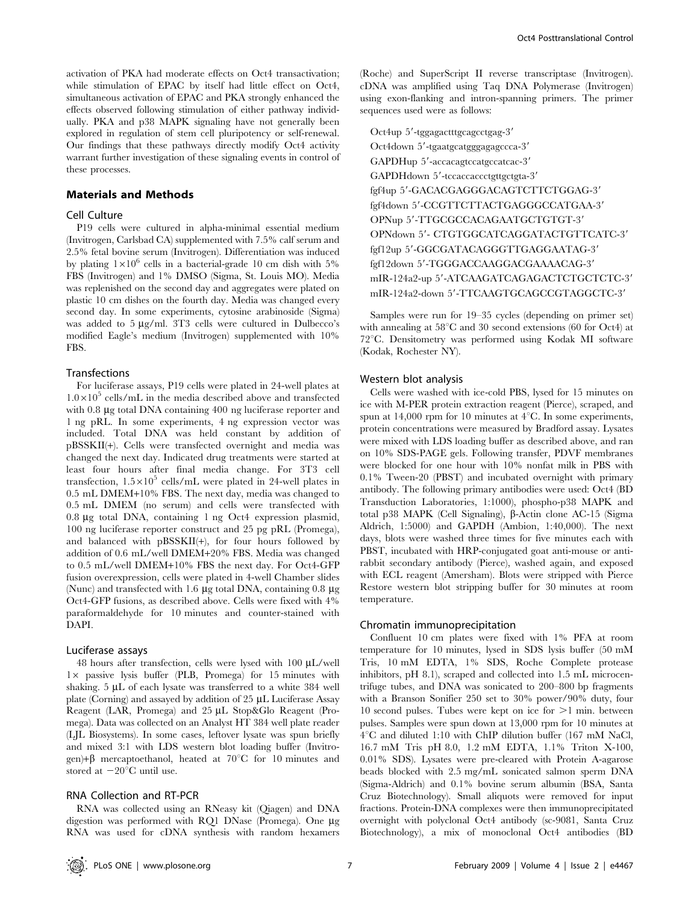## Materials and Methods

## Cell Culture

P19 cells were cultured in alpha-minimal essential medium (Invitrogen, Carlsbad CA) supplemented with 7.5% calf serum and 2.5% fetal bovine serum (Invitrogen). Differentiation was induced by plating  $1\times10^6$  cells in a bacterial-grade 10 cm dish with 5% FBS (Invitrogen) and 1% DMSO (Sigma, St. Louis MO). Media was replenished on the second day and aggregates were plated on plastic 10 cm dishes on the fourth day. Media was changed every second day. In some experiments, cytosine arabinoside (Sigma) was added to  $5 \mu g/ml$ . 3T3 cells were cultured in Dulbecco's modified Eagle's medium (Invitrogen) supplemented with 10% FBS.

# Transfections

For luciferase assays, P19 cells were plated in 24-well plates at  $1.0\times10^{5}$  cells/mL in the media described above and transfected with 0.8 µg total DNA containing 400 ng luciferase reporter and 1 ng pRL. In some experiments, 4 ng expression vector was included. Total DNA was held constant by addition of pBSSKII(+). Cells were transfected overnight and media was changed the next day. Indicated drug treatments were started at least four hours after final media change. For 3T3 cell transfection,  $1.5 \times 10^5$  cells/mL were plated in 24-well plates in 0.5 mL DMEM+10% FBS. The next day, media was changed to 0.5 mL DMEM (no serum) and cells were transfected with 0.8 mg total DNA, containing 1 ng Oct4 expression plasmid, 100 ng luciferase reporter construct and 25 pg pRL (Promega), and balanced with pBSSKII(+), for four hours followed by addition of 0.6 mL/well DMEM+20% FBS. Media was changed to 0.5 mL/well DMEM+10% FBS the next day. For Oct4-GFP fusion overexpression, cells were plated in 4-well Chamber slides (Nunc) and transfected with 1.6  $\mu$ g total DNA, containing 0.8  $\mu$ g Oct4-GFP fusions, as described above. Cells were fixed with 4% paraformaldehyde for 10 minutes and counter-stained with DAPI.

#### Luciferase assays

48 hours after transfection, cells were lysed with  $100 \mu L/well$  $1\times$  passive lysis buffer (PLB, Promega) for 15 minutes with shaking.  $5 \mu L$  of each lysate was transferred to a white 384 well plate (Corning) and assayed by addition of 25 µL Luciferase Assay Reagent (LAR, Promega) and 25 µL Stop&Glo Reagent (Promega). Data was collected on an Analyst HT 384 well plate reader (LJL Biosystems). In some cases, leftover lysate was spun briefly and mixed 3:1 with LDS western blot loading buffer (Invitrogen)+ $\beta$  mercaptoethanol, heated at 70°C for 10 minutes and stored at  $-20^{\circ}$ C until use.

#### RNA Collection and RT-PCR

RNA was collected using an RNeasy kit (Qiagen) and DNA digestion was performed with RQ1 DNase (Promega). One  $\mu$ g RNA was used for cDNA synthesis with random hexamers

(Roche) and SuperScript II reverse transcriptase (Invitrogen). cDNA was amplified using Taq DNA Polymerase (Invitrogen) using exon-flanking and intron-spanning primers. The primer sequences used were as follows:

Oct4up 5'-tggagactttgcagcctgag-3' Oct4down 5'-tgaatgcatgggagagccca-3' GAPDHup 5'-accacagtccatgccatcac-3' GAPDHdown 5'-tccaccaccctgttgctgta-3' fgf4up 5'-GACACGAGGGACAGTCTTCTGGAG-3' fgf4down 5'-CCGTTCTTACTGAGGGCCATGAA-3' OPNup 5'-TTGCGCCACAGAATGCTGTGT-3' OPNdown 5'- CTGTGGCATCAGGATACTGTTCATC-3' fgf12up 5'-GGCGATACAGGGTTGAGGAATAG-3' fgf12down 5'-TGGGACCAAGGACGAAAACAG-3' mIR-124a2-up 5'-ATCAAGATCAGAGACTCTGCTCTC-3' mIR-124a2-down 5'-TTCAAGTGCAGCCGTAGGCTC-3'

Samples were run for 19–35 cycles (depending on primer set) with annealing at  $58^{\circ}$ C and 30 second extensions (60 for Oct4) at  $72^{\circ}$ C. Densitometry was performed using Kodak MI software (Kodak, Rochester NY).

# Western blot analysis

Cells were washed with ice-cold PBS, lysed for 15 minutes on ice with M-PER protein extraction reagent (Pierce), scraped, and spun at 14,000 rpm for 10 minutes at  $4^{\circ}$ C. In some experiments, protein concentrations were measured by Bradford assay. Lysates were mixed with LDS loading buffer as described above, and ran on 10% SDS-PAGE gels. Following transfer, PDVF membranes were blocked for one hour with 10% nonfat milk in PBS with 0.1% Tween-20 (PBST) and incubated overnight with primary antibody. The following primary antibodies were used: Oct4 (BD Transduction Laboratories, 1:1000), phospho-p38 MAPK and total p38 MAPK (Cell Signaling), β-Actin clone AC-15 (Sigma Aldrich, 1:5000) and GAPDH (Ambion, 1:40,000). The next days, blots were washed three times for five minutes each with PBST, incubated with HRP-conjugated goat anti-mouse or antirabbit secondary antibody (Pierce), washed again, and exposed with ECL reagent (Amersham). Blots were stripped with Pierce Restore western blot stripping buffer for 30 minutes at room temperature.

#### Chromatin immunoprecipitation

Confluent 10 cm plates were fixed with 1% PFA at room temperature for 10 minutes, lysed in SDS lysis buffer (50 mM Tris, 10 mM EDTA, 1% SDS, Roche Complete protease inhibitors, pH 8.1), scraped and collected into 1.5 mL microcentrifuge tubes, and DNA was sonicated to 200–800 bp fragments with a Branson Sonifier 250 set to 30% power/90% duty, four 10 second pulses. Tubes were kept on ice for  $>1$  min. between pulses. Samples were spun down at 13,000 rpm for 10 minutes at  $4^{\circ}$ C and diluted 1:10 with ChIP dilution buffer (167 mM NaCl, 16.7 mM Tris pH 8.0, 1.2 mM EDTA, 1.1% Triton X-100, 0.01% SDS). Lysates were pre-cleared with Protein A-agarose beads blocked with 2.5 mg/mL sonicated salmon sperm DNA (Sigma-Aldrich) and 0.1% bovine serum albumin (BSA, Santa Cruz Biotechnology). Small aliquots were removed for input fractions. Protein-DNA complexes were then immunoprecipitated overnight with polyclonal Oct4 antibody (sc-9081, Santa Cruz Biotechnology), a mix of monoclonal Oct4 antibodies (BD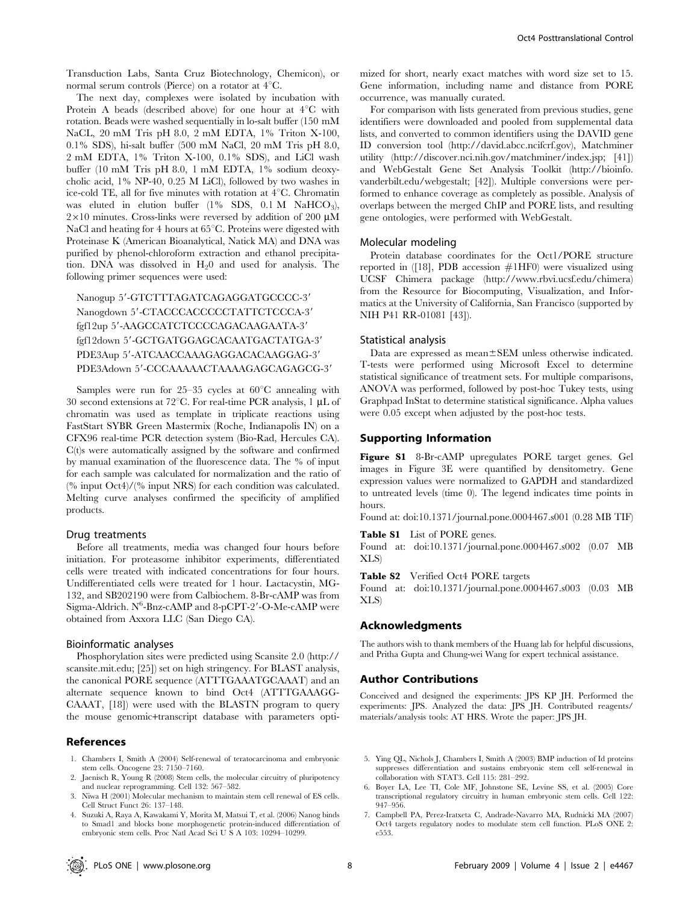Transduction Labs, Santa Cruz Biotechnology, Chemicon), or normal serum controls (Pierce) on a rotator at  $4^{\circ}$ C.

The next day, complexes were isolated by incubation with Protein A beads (described above) for one hour at  $4^{\circ}C$  with rotation. Beads were washed sequentially in lo-salt buffer (150 mM NaCL, 20 mM Tris pH 8.0, 2 mM EDTA, 1% Triton X-100, 0.1% SDS), hi-salt buffer (500 mM NaCl, 20 mM Tris pH 8.0, 2 mM EDTA, 1% Triton X-100, 0.1% SDS), and LiCl wash buffer (10 mM Tris pH 8.0, 1 mM EDTA, 1% sodium deoxycholic acid, 1% NP-40, 0.25 M LiCl), followed by two washes in ice-cold TE, all for five minutes with rotation at  $4^{\circ}$ C. Chromatin was eluted in elution buffer  $(1\%$  SDS, 0.1 M NaHCO<sub>3</sub>),  $2\times10$  minutes. Cross-links were reversed by addition of 200 µM NaCl and heating for 4 hours at  $65^{\circ}$ C. Proteins were digested with Proteinase K (American Bioanalytical, Natick MA) and DNA was purified by phenol-chloroform extraction and ethanol precipitation. DNA was dissolved in  $H<sub>2</sub>0$  and used for analysis. The following primer sequences were used:

# Nanogup 5'-GTCTTTAGATCAGAGGATGCCCC-3' Nanogdown 5'-CTACCCACCCCCTATTCTCCCA-3' fgf12up 5'-AAGCCATCTCCCCAGACAAGAATA-3' fgf12down 5'-GCTGATGGAGCACAATGACTATGA-3' PDE3Aup 5'-ATCAACCAAAGAGGACACAAGGAG-3' PDE3Adown 5'-CCCAAAAACTAAAAGAGCAGAGCG-3'

Samples were run for  $25-35$  cycles at  $60^{\circ}$ C annealing with 30 second extensions at 72 $^{\circ}$ C. For real-time PCR analysis, 1 µL of chromatin was used as template in triplicate reactions using FastStart SYBR Green Mastermix (Roche, Indianapolis IN) on a CFX96 real-time PCR detection system (Bio-Rad, Hercules CA). C(t)s were automatically assigned by the software and confirmed by manual examination of the fluorescence data. The % of input for each sample was calculated for normalization and the ratio of (% input Oct4)/(% input NRS) for each condition was calculated. Melting curve analyses confirmed the specificity of amplified products.

## Drug treatments

Before all treatments, media was changed four hours before initiation. For proteasome inhibitor experiments, differentiated cells were treated with indicated concentrations for four hours. Undifferentiated cells were treated for 1 hour. Lactacystin, MG-132, and SB202190 were from Calbiochem. 8-Br-cAMP was from Sigma-Aldrich. N<sup>6</sup>-Bnz-cAMP and 8-pCPT-2'-O-Me-cAMP were obtained from Axxora LLC (San Diego CA).

#### Bioinformatic analyses

Phosphorylation sites were predicted using Scansite 2.0 (http:// scansite.mit.edu; [25]) set on high stringency. For BLAST analysis, the canonical PORE sequence (ATTTGAAATGCAAAT) and an alternate sequence known to bind Oct4 (ATTTGAAAGG-CAAAT, [18]) were used with the BLASTN program to query the mouse genomic+transcript database with parameters opti-

# References

- 1. Chambers I, Smith A (2004) Self-renewal of teratocarcinoma and embryonic stem cells. Oncogene 23: 7150–7160.
- 2. Jaenisch R, Young R (2008) Stem cells, the molecular circuitry of pluripotency and nuclear reprogramming. Cell 132: 567–582.
- 3. Niwa H (2001) Molecular mechanism to maintain stem cell renewal of ES cells. Cell Struct Funct 26: 137–148.
- 4. Suzuki A, Raya A, Kawakami Y, Morita M, Matsui T, et al. (2006) Nanog binds to Smad1 and blocks bone morphogenetic protein-induced differentiation of embryonic stem cells. Proc Natl Acad Sci U S A 103: 10294–10299.

mized for short, nearly exact matches with word size set to 15. Gene information, including name and distance from PORE occurrence, was manually curated.

For comparison with lists generated from previous studies, gene identifiers were downloaded and pooled from supplemental data lists, and converted to common identifiers using the DAVID gene ID conversion tool (http://david.abcc.ncifcrf.gov), Matchminer utility (http://discover.nci.nih.gov/matchminer/index.jsp; [41]) and WebGestalt Gene Set Analysis Toolkit (http://bioinfo. vanderbilt.edu/webgestalt; [42]). Multiple conversions were performed to enhance coverage as completely as possible. Analysis of overlaps between the merged ChIP and PORE lists, and resulting gene ontologies, were performed with WebGestalt.

#### Molecular modeling

Protein database coordinates for the Oct1/PORE structure reported in  $(18)$ , PDB accession  $#1HF0$ ) were visualized using UCSF Chimera package (http://www.rbvi.ucsf.edu/chimera) from the Resource for Biocomputing, Visualization, and Informatics at the University of California, San Francisco (supported by NIH P41 RR-01081 [43]).

# Statistical analysis

Data are expressed as mean±SEM unless otherwise indicated. T-tests were performed using Microsoft Excel to determine statistical significance of treatment sets. For multiple comparisons, ANOVA was performed, followed by post-hoc Tukey tests, using Graphpad InStat to determine statistical significance. Alpha values were 0.05 except when adjusted by the post-hoc tests.

## Supporting Information

Figure S1 8-Br-cAMP upregulates PORE target genes. Gel images in Figure 3E were quantified by densitometry. Gene expression values were normalized to GAPDH and standardized to untreated levels (time 0). The legend indicates time points in hours.

Found at: doi:10.1371/journal.pone.0004467.s001 (0.28 MB TIF)

Table S1 List of PORE genes.

Found at: doi:10.1371/journal.pone.0004467.s002 (0.07 MB XLS)

Table S2 Verified Oct4 PORE targets

Found at: doi:10.1371/journal.pone.0004467.s003 (0.03 MB XLS)

#### Acknowledgments

The authors wish to thank members of the Huang lab for helpful discussions, and Pritha Gupta and Chung-wei Wang for expert technical assistance.

## Author Contributions

Conceived and designed the experiments: JPS KP JH. Performed the experiments: JPS. Analyzed the data: JPS JH. Contributed reagents/ materials/analysis tools: AT HRS. Wrote the paper: JPS JH.

- 5. Ying QL, Nichols J, Chambers I, Smith A (2003) BMP induction of Id proteins suppresses differentiation and sustains embryonic stem cell self-renewal in collaboration with STAT3. Cell 115: 281–292.
- 6. Boyer LA, Lee TI, Cole MF, Johnstone SE, Levine SS, et al. (2005) Core transcriptional regulatory circuitry in human embryonic stem cells. Cell 122: 947–956.
- 7. Campbell PA, Perez-Iratxeta C, Andrade-Navarro MA, Rudnicki MA (2007) Oct4 targets regulatory nodes to modulate stem cell function. PLoS ONE 2: e553.